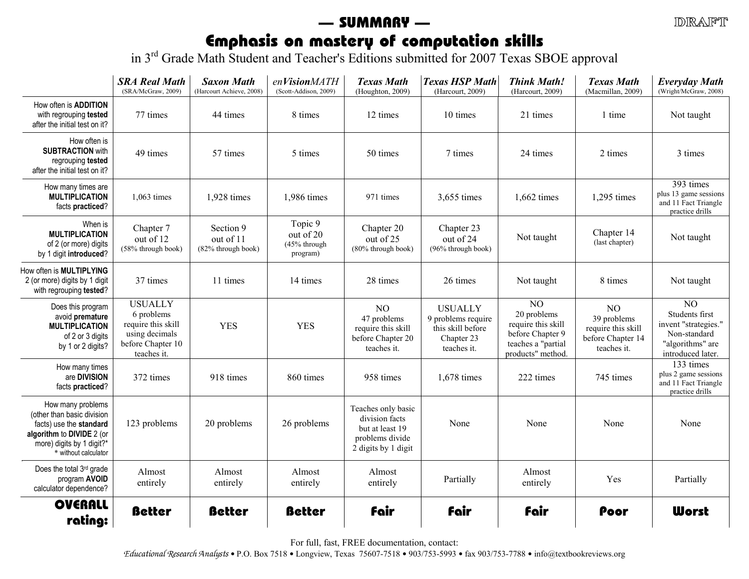#### $IDIRA$

# — SUMMARY —

**Emphasis on mastery of computation skills**<br>in 3<sup>rd</sup> Grade Math Student and Teacher's Editions submitted for 2007 Texas SBOE approval

|                                                                                                                                                              | <b>SRA Real Math</b><br>(SRA/McGraw, 2009)                                                               | <b>Saxon Math</b><br>(Harcourt Achieve, 2008) | enVisionMATH<br>(Scott-Addison, 2009)            | <b>Texas Math</b><br>(Houghton, 2009)                                                             | <b>Texas HSP Math</b><br>(Harcourt, 2009)                                              | <b>Think Math!</b><br>(Harcourt, 2009)                                                                             | <b>Texas Math</b><br>(Macmillan, 2009)                                      | <b>Everyday Math</b><br>(Wright/McGraw, 2008)                                                                     |
|--------------------------------------------------------------------------------------------------------------------------------------------------------------|----------------------------------------------------------------------------------------------------------|-----------------------------------------------|--------------------------------------------------|---------------------------------------------------------------------------------------------------|----------------------------------------------------------------------------------------|--------------------------------------------------------------------------------------------------------------------|-----------------------------------------------------------------------------|-------------------------------------------------------------------------------------------------------------------|
| How often is ADDITION<br>with regrouping tested<br>after the initial test on it?                                                                             | 77 times                                                                                                 | 44 times                                      | 8 times                                          | 12 times                                                                                          | 10 times                                                                               | 21 times                                                                                                           | 1 time                                                                      | Not taught                                                                                                        |
| How often is<br><b>SUBTRACTION with</b><br>regrouping tested<br>after the initial test on it?                                                                | 49 times                                                                                                 | 57 times                                      | 5 times                                          | 50 times                                                                                          | 7 times                                                                                | 24 times                                                                                                           | 2 times                                                                     | 3 times                                                                                                           |
| How many times are<br><b>MULTIPLICATION</b><br>facts practiced?                                                                                              | 1,063 times                                                                                              | 1,928 times                                   | 1,986 times                                      | 971 times                                                                                         | 3,655 times                                                                            | 1,662 times                                                                                                        | 1,295 times                                                                 | 393 times<br>plus 13 game sessions<br>and 11 Fact Triangle<br>practice drills                                     |
| When is<br><b>MULTIPLICATION</b><br>of 2 (or more) digits<br>by 1 digit introduced?                                                                          | Chapter 7<br>out of 12<br>(58% through book)                                                             | Section 9<br>out of 11<br>(82% through book)  | Topic 9<br>out of 20<br>(45% through<br>program) | Chapter 20<br>out of 25<br>$(80\%$ through book)                                                  | Chapter 23<br>out of 24<br>$(96\%$ through book)                                       | Not taught                                                                                                         | Chapter 14<br>(last chapter)                                                | Not taught                                                                                                        |
| How often is MULTIPLYING<br>2 (or more) digits by 1 digit<br>with regrouping tested?                                                                         | 37 times                                                                                                 | 11 times                                      | 14 times                                         | 28 times                                                                                          | 26 times                                                                               | Not taught                                                                                                         | 8 times                                                                     | Not taught                                                                                                        |
| Does this program<br>avoid premature<br><b>MULTIPLICATION</b><br>of 2 or 3 digits<br>by 1 or 2 digits?                                                       | <b>USUALLY</b><br>6 problems<br>require this skill<br>using decimals<br>before Chapter 10<br>teaches it. | <b>YES</b>                                    | <b>YES</b>                                       | N <sub>O</sub><br>47 problems<br>require this skill<br>before Chapter 20<br>teaches it.           | <b>USUALLY</b><br>9 problems require<br>this skill before<br>Chapter 23<br>teaches it. | N <sub>O</sub><br>20 problems<br>require this skill<br>before Chapter 9<br>teaches a "partial<br>products" method. | NO<br>39 problems<br>require this skill<br>before Chapter 14<br>teaches it. | N <sub>O</sub><br>Students first<br>invent "strategies."<br>Non-standard<br>"algorithms" are<br>introduced later. |
| How many times<br>are DIVISION<br>facts practiced?                                                                                                           | 372 times                                                                                                | 918 times                                     | 860 times                                        | 958 times                                                                                         | 1,678 times                                                                            | 222 times                                                                                                          | 745 times                                                                   | 133 times<br>plus 2 game sessions<br>and 11 Fact Triangle<br>practice drills                                      |
| How many problems<br>(other than basic division<br>facts) use the standard<br>algorithm to DIVIDE 2 (or<br>more) digits by 1 digit?*<br>* without calculator | 123 problems                                                                                             | 20 problems                                   | 26 problems                                      | Teaches only basic<br>division facts<br>but at least 19<br>problems divide<br>2 digits by 1 digit | None                                                                                   | None                                                                                                               | None                                                                        | None                                                                                                              |
| Does the total 3rd grade<br>program AVOID<br>calculator dependence?                                                                                          | Almost<br>entirely                                                                                       | Almost<br>entirely                            | Almost<br>entirely                               | Almost<br>entirely                                                                                | Partially                                                                              | Almost<br>entirely                                                                                                 | Yes                                                                         | Partially                                                                                                         |
| <b>OVERALL</b><br>rating:                                                                                                                                    | <b>Better</b>                                                                                            | <b>Better</b>                                 | <b>Better</b>                                    | fair                                                                                              | <b>fair</b>                                                                            | fair                                                                                                               | Poor                                                                        | <b>Worst</b>                                                                                                      |

For full, fast, FREE documentation, contact: Educational Research Analysts • P.O. Box 7518 • Longview, Texas 75607-7518 • 903/753-5993 • fax 903/753-7788 • info@textbookreviews.org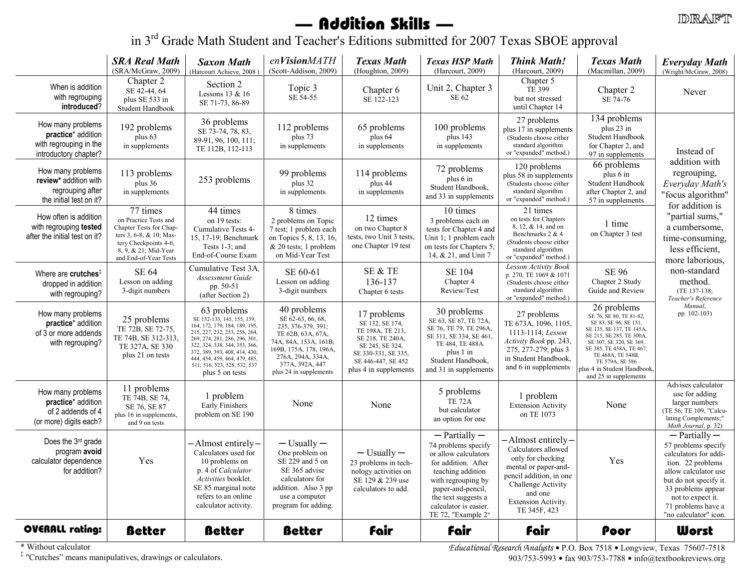## — Addition Skills —

in 3<sup>rd</sup> Grade Math Student and Teacher's Editions submitted for 2007 Texas SBOE approval

|                                                                                            | <b>SRA Real Math</b><br>(SRA/McGraw, 2009)                                                                                                                        | <b>Saxon Math</b><br>(Harcourt Achieve, 2008)                                                                                                                                                                                                                                                      | enVisionMATH<br>(Scott-Addison, 2009)                                                                                                                                                            | <b>Texas Math</b><br>(Houghton, 2009)                                                                                                                           | <b>Texas HSP Math</b><br>(Harcourt, 2009)                                                                                                                                                                                     | <b>Think Math!</b><br>(Harcourt, 2009)                                                                                                                                                          | <b>Texas Math</b><br>(Macmillan, 2009)                                                                                                                                                                                                                                         | <b>Everyday Math</b><br>(Wright/McGraw, 2008)                                                                                                                                                                                      |
|--------------------------------------------------------------------------------------------|-------------------------------------------------------------------------------------------------------------------------------------------------------------------|----------------------------------------------------------------------------------------------------------------------------------------------------------------------------------------------------------------------------------------------------------------------------------------------------|--------------------------------------------------------------------------------------------------------------------------------------------------------------------------------------------------|-----------------------------------------------------------------------------------------------------------------------------------------------------------------|-------------------------------------------------------------------------------------------------------------------------------------------------------------------------------------------------------------------------------|-------------------------------------------------------------------------------------------------------------------------------------------------------------------------------------------------|--------------------------------------------------------------------------------------------------------------------------------------------------------------------------------------------------------------------------------------------------------------------------------|------------------------------------------------------------------------------------------------------------------------------------------------------------------------------------------------------------------------------------|
| When is addition<br>with regrouping<br>introduced?                                         | Chapter 2<br>SE 42-44, 64<br>plus SE 533 in<br>Student Handbook                                                                                                   | Section 2<br>Lessons 13 & 16<br>SE 71-73, 86-89                                                                                                                                                                                                                                                    | Topic 3<br>SE 54-55                                                                                                                                                                              | Chapter 6<br>SE 122-123                                                                                                                                         | Unit 2, Chapter 3<br>SE 62                                                                                                                                                                                                    | Chapter 5<br>TE 399<br>but not stressed<br>until Chapter 14                                                                                                                                     | Chapter 2<br>SE 74-76                                                                                                                                                                                                                                                          | Never                                                                                                                                                                                                                              |
| How many problems<br>practice* addition<br>with regrouping in the<br>introductory chapter? | 192 problems<br>plus 63<br>in supplements                                                                                                                         | 36 problems<br>SE 73-74, 78, 83,<br>89-91, 96, 100, 111;<br>TE 112B, 112-113                                                                                                                                                                                                                       | 112 problems<br>plus 73<br>in supplements                                                                                                                                                        | 65 problems<br>plus 64<br>in supplements                                                                                                                        | 100 problems<br>plus $143$<br>in supplements                                                                                                                                                                                  | 27 problems<br>plus 17 in supplements<br>(Students choose either<br>standard algorithm<br>or "expanded" method.)                                                                                | 134 problems<br>plus 23 in<br>Student Handbook<br>for Chapter 2, and<br>97 in supplements                                                                                                                                                                                      | Instead of                                                                                                                                                                                                                         |
| How many problems<br>review* addition with<br>regrouping after<br>the initial test on it?  | 113 problems<br>plus 36<br>in supplements                                                                                                                         | 253 problems                                                                                                                                                                                                                                                                                       | 99 problems<br>plus 32<br>in supplements                                                                                                                                                         | 114 problems<br>plus 44<br>in supplements                                                                                                                       | 72 problems<br>plus 6 in<br>Student Handbook,<br>and 33 in supplements                                                                                                                                                        | 120 problems<br>plus 58 in supplements<br>(Students choose either<br>standard algorithm<br>or "expanded" method.)                                                                               | 66 problems<br>plus 6 in<br>Student Handbook<br>after Chapter 2, and<br>57 in supplements                                                                                                                                                                                      | addition with<br>regrouping,<br>Everyday Math's<br>"focus algorithm"<br>for addition is                                                                                                                                            |
| How often is addition<br>with regrouping tested<br>after the initial test on it?           | 77 times<br>on Practice Tests and<br>Chapter Tests for Chap-<br>ters 3, 6-8, & 10; Mas-<br>tery Checkpoints 4-6,<br>8, 9, & 21; Mid-Year<br>and End-of-Year Tests | 44 times<br>on 19 tests:<br>Cumulative Tests 4-<br>15, 17-19; Benchmark<br>Tests 1-3; and<br>End-of-Course Exam                                                                                                                                                                                    | 8 times<br>2 problems on Topic<br>7 test; 1 problem each<br>on Topics 5, 8, 13, 16,<br>& 20 tests; 1 problem<br>on Mid-Year Test                                                                 | 12 times<br>on two Chapter 8<br>tests, two Unit 3 tests,<br>one Chapter 19 test                                                                                 | 10 times<br>3 problems each on<br>tests for Chapter 4 and<br>Unit 1; 1 problem each<br>on tests for Chapters 5,<br>14, & 21, and Unit 7                                                                                       | 21 times<br>on tests for Chapters<br>8, 12, & 14, and on<br>Benchmarks 2 & 4<br>(Students choose either<br>standard algorithm<br>or "expanded" method.)                                         | 1 time<br>on Chapter 3 test                                                                                                                                                                                                                                                    | "partial sums,"<br>a cumbersome,<br>time-consuming,<br>less efficient,<br>more laborious,                                                                                                                                          |
| Where are crutches <sup>#</sup><br>dropped in addition<br>with regrouping?                 | <b>SE 64</b><br>Lesson on adding<br>3-digit numbers                                                                                                               | Cumulative Test 3A,<br>Assessment Guide<br>pp. 50-51<br>(after Section 2)                                                                                                                                                                                                                          | SE 60-61<br>Lesson on adding<br>3-digit numbers                                                                                                                                                  | SE & TE<br>136-137<br>Chapter 6 tests                                                                                                                           | <b>SE 104</b><br>Chapter 4<br>Review/Test                                                                                                                                                                                     | <b>Lesson Activity Book</b><br>p. 270, TE 1069 & 1071<br>(Students choose either<br>standard algorithm<br>or "expanded" method.)                                                                | <b>SE 96</b><br>Chapter 2 Study<br>Guide and Review                                                                                                                                                                                                                            | non-standard<br>method.<br>(TE 137-138;<br>Teacher's Reference                                                                                                                                                                     |
| How many problems<br>practice* addition<br>of 3 or more addends<br>with regrouping?        | 25 problems<br>TE 72B, SE 72-75,<br>TE 74B, SE 312-313,<br>TE 327A, SE 330<br>plus 21 on tests                                                                    | 63 problems<br>SE 132-133, 145, 155, 159,<br>164, 172, 179, 184, 189, 195,<br>215, 227, 232, 253, 258, 264,<br>269, 274, 281, 286, 296, 301,<br>322, 324, 338, 344, 353, 366.<br>372, 389, 393, 408, 414, 430,<br>444, 454, 459, 464, 479, 485,<br>511, 516, 523, 528, 532, 537<br>plus 5 on tests | 40 problems<br>SE 62-63, 66, 68,<br>235, 376-379, 391;<br>TE 62B, 63A, 67A,<br>74A, 84A, 153A, 161B,<br>169B, 175A, 178, 196A,<br>276A, 294A, 334A,<br>377A, 392A, 447<br>plus 24 in supplements | 17 problems<br>SE 132, SE 174,<br>TE 198A, TE 213,<br>SE 218, TE 240A,<br>SE 245, SE 324,<br>SE 330-331, SE 335,<br>SE 446-447, SE 452<br>plus 4 in supplements | 30 problems<br>SE 63, SE 67, TE 72A,<br>SE 76, TE 79, TE 296A,<br>SE 311, SE 334, SE 461,<br>TE 484, TE 488A<br>plus 1 in<br>Student Handbook,<br>and 31 in supplements                                                       | 27 problems<br>TE 673A, 1096, 1105,<br>1113-1114; Lesson<br>Activity Book pp. 243,<br>275, 277-279; plus 3<br>in Student Handbook,<br>and 6 in supplements                                      | 26 problems<br>SE 76, SE 80, TE 81-82,<br>SE 83, SE 96, SE 131,<br>SE 135, SE 137, TE 145A,<br>SE 215, SE 285, TE 300A,<br>SE 307, SE 320, SE 369,<br>SE 385, TE 458A, TE 467,<br>TE 468A, TE 548B,<br>TE 579A, SE 586<br>plus 4 in Student Handbook,<br>and 25 in supplements | Manual,<br>pp. 102-103)                                                                                                                                                                                                            |
| How many problems<br>practice* addition<br>of 2 addends of 4<br>(or more) digits each?     | 11 problems<br>TE 74B, SE 74,<br>SE 76, SE 87<br>plus 16 in supplements,<br>and 9 on tests                                                                        | 1 problem<br>Early Finishers<br>problem on SE 190                                                                                                                                                                                                                                                  | None                                                                                                                                                                                             | None                                                                                                                                                            | 5 problems<br><b>TE 72A</b><br>but calculator<br>an option for one                                                                                                                                                            | 1 problem<br><b>Extension Activity</b><br>on TE 1073                                                                                                                                            | None                                                                                                                                                                                                                                                                           | Advises calculator<br>use for adding<br>larger numbers<br>(TE 56; TE 109, "Calcu-<br>lating Complements;"<br>Math Journal, p. 32)                                                                                                  |
| Does the 3rd grade<br>program avoid<br>calculator dependence<br>for addition?              | Yes                                                                                                                                                               | -Almost entirely-<br>Calculators used for<br>10 problems on<br>p. 4 of Calculator<br>Activities booklet.<br>SE 85 marginal note<br>refers to an online<br>calculator activity.                                                                                                                     | $-$ Usually $-$<br>One problem on<br>SE 229 and 5 on<br>SE 365 advise<br>calculators for<br>addition. Also 3 pp<br>use a computer<br>program for adding.                                         | $-$ Usually $-$<br>23 problems in tech-<br>nology activities on<br>SE 129 & 239 use<br>calculators to add.                                                      | $-$ Partially $-$<br>74 problems specify<br>or allow calculators<br>for addition. After<br>teaching addition<br>with regrouping by<br>paper-and-pencil,<br>the text suggests a<br>calculator is easier.<br>TE 72, "Example 2" | -Almost entirely-<br>Calculators allowed<br>only for checking<br>mental or paper-and-<br>pencil addition, in one<br>Challenge Activity<br>and one<br><b>Extension Activity.</b><br>TE 345F, 423 | Yes                                                                                                                                                                                                                                                                            | $-$ Partially $-$<br>57 problems specify<br>calculators for addi-<br>tion. 22 problems<br>allow calculator use<br>but do not specify it.<br>33 problems appear<br>not to expect it.<br>71 problems have a<br>"no calculator" icon. |
| OVERALL rating:                                                                            | <b>Better</b>                                                                                                                                                     | <b>Better</b>                                                                                                                                                                                                                                                                                      | <b>Better</b>                                                                                                                                                                                    | fair                                                                                                                                                            | <b>fair</b>                                                                                                                                                                                                                   | fair                                                                                                                                                                                            | Poor                                                                                                                                                                                                                                                                           | Worst                                                                                                                                                                                                                              |

\* Without calculator

 $\ddagger$  "Crutches" means  $\ddagger$ 

Educational Research Analysts • P.O. Box 7518 • Longview, Texas 75607-7518<br>903/753-5993 • fax 903/753-7788 • info@textbookreviews.org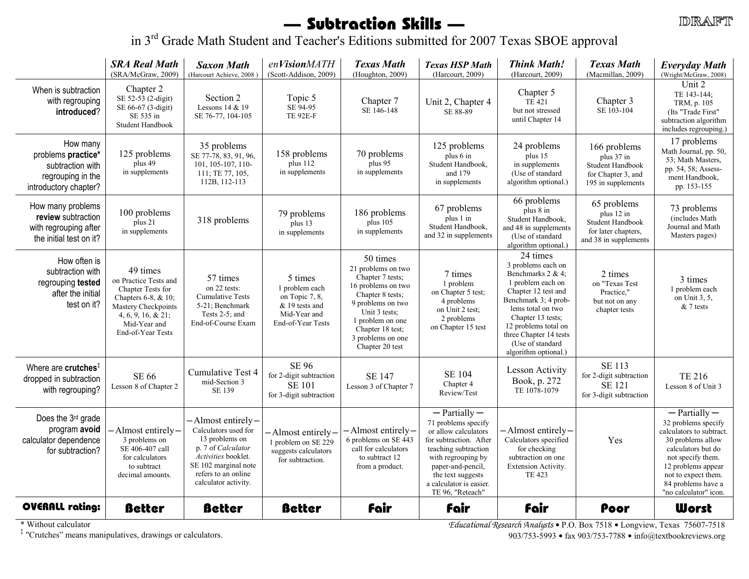## — Subtraction Skills —

**DRAFT** 

in 3<sup>rd</sup> Grade Math Student and Teacher's Editions submitted for 2007 Texas SBOE approval

|                                                                                                  | <b>SRA Real Math</b><br>(SRA/McGraw, 2009)                                                                                                                         | <b>Saxon Math</b><br>(Harcourt Achieve, 2008                                                                                                                                    | enVisionMATH<br>(Scott-Addison, 2009)                                                              | <b>Texas Math</b><br>(Houghton, 2009)                                                                                                                                                                              | <b>Texas HSP Math</b><br>(Harcourt, 2009)                                                                                                                                                                                         | <b>Think Math!</b><br>(Harcourt, 2009)                                                                                                                                                                                                                              | <b>Texas Math</b><br>(Macmillan, 2009)                                                        | <b>Everyday Math</b><br>(Wright/McGraw, 2008)                                                                                                                                                                                    |
|--------------------------------------------------------------------------------------------------|--------------------------------------------------------------------------------------------------------------------------------------------------------------------|---------------------------------------------------------------------------------------------------------------------------------------------------------------------------------|----------------------------------------------------------------------------------------------------|--------------------------------------------------------------------------------------------------------------------------------------------------------------------------------------------------------------------|-----------------------------------------------------------------------------------------------------------------------------------------------------------------------------------------------------------------------------------|---------------------------------------------------------------------------------------------------------------------------------------------------------------------------------------------------------------------------------------------------------------------|-----------------------------------------------------------------------------------------------|----------------------------------------------------------------------------------------------------------------------------------------------------------------------------------------------------------------------------------|
| When is subtraction<br>with regrouping<br>introduced?                                            | Chapter 2<br>SE 52-53 (2-digit)<br>SE 66-67 (3-digit)<br>SE 535 in<br>Student Handbook                                                                             | Section 2<br>Lessons 14 & 19<br>SE 76-77, 104-105                                                                                                                               | Topic 5<br>SE 94-95<br><b>TE 92E-F</b>                                                             | Chapter 7<br>SE 146-148                                                                                                                                                                                            | Unit 2, Chapter 4<br>SE 88-89                                                                                                                                                                                                     | Chapter 5<br>TE 421<br>but not stressed<br>until Chapter 14                                                                                                                                                                                                         | Chapter 3<br>SE 103-104                                                                       | Unit 2<br>TE 143-144;<br>TRM, p. 105<br>(Its "Trade First"<br>subtraction algorithm<br>includes regrouping.)                                                                                                                     |
| How many<br>problems practice*<br>subtraction with<br>regrouping in the<br>introductory chapter? | 125 problems<br>plus 49<br>in supplements                                                                                                                          | 35 problems<br>SE 77-78, 83, 91, 96,<br>101, 105-107, 110-<br>111; TE 77, 105,<br>112B, 112-113                                                                                 | 158 problems<br>plus 112<br>in supplements                                                         | 70 problems<br>plus 95<br>in supplements                                                                                                                                                                           | 125 problems<br>plus 6 in<br>Student Handbook,<br>and 179<br>in supplements                                                                                                                                                       | 24 problems<br>plus 15<br>in supplements<br>(Use of standard<br>algorithm optional.)                                                                                                                                                                                | 166 problems<br>plus 37 in<br>Student Handbook<br>for Chapter 3, and<br>195 in supplements    | 17 problems<br>Math Journal, pp. 50,<br>53; Math Masters,<br>pp. 54, 58; Assess-<br>ment Handbook,<br>pp. 153-155                                                                                                                |
| How many problems<br>review subtraction<br>with regrouping after<br>the initial test on it?      | 100 problems<br>plus 21<br>in supplements                                                                                                                          | 318 problems                                                                                                                                                                    | 79 problems<br>plus 13<br>in supplements                                                           | 186 problems<br>plus 105<br>in supplements                                                                                                                                                                         | 67 problems<br>plus 1 in<br>Student Handbook,<br>and 32 in supplements                                                                                                                                                            | $\overline{66}$ problems<br>plus 8 in<br>Student Handbook,<br>and 48 in supplements<br>(Use of standard)<br>algorithm optional.)                                                                                                                                    | 65 problems<br>plus 12 in<br>Student Handbook<br>for later chapters,<br>and 38 in supplements | 73 problems<br>(includes Math<br>Journal and Math<br>Masters pages)                                                                                                                                                              |
| How often is<br>subtraction with<br>regrouping tested<br>after the initial<br>test on it?        | 49 times<br>on Practice Tests and<br>Chapter Tests for<br>Chapters 6-8, & 10;<br>Mastery Checkpoints<br>$4, 6, 9, 16, \& 21;$<br>Mid-Year and<br>End-of-Year Tests | 57 times<br>on 22 tests:<br><b>Cumulative Tests</b><br>5-21; Benchmark<br>Tests 2-5; and<br>End-of-Course Exam                                                                  | 5 times<br>1 problem each<br>on Topic 7, 8,<br>& 19 tests and<br>Mid-Year and<br>End-of-Year Tests | 50 times<br>21 problems on two<br>Chapter 7 tests:<br>16 problems on two<br>Chapter 8 tests;<br>9 problems on two<br>Unit 3 tests;<br>1 problem on one<br>Chapter 18 test;<br>3 problems on one<br>Chapter 20 test | 7 times<br>1 problem<br>on Chapter 5 test;<br>4 problems<br>on Unit 2 test;<br>2 problems<br>on Chapter 15 test                                                                                                                   | 24 times<br>3 problems each on<br>Benchmarks $2 & 4$ ;<br>1 problem each on<br>Chapter 12 test and<br>Benchmark 3; 4 prob-<br>lems total on two<br>Chapter 13 tests;<br>12 problems total on<br>three Chapter 14 tests<br>(Use of standard)<br>algorithm optional.) | 2 times<br>on "Texas Test<br>Practice,"<br>but not on any<br>chapter tests                    | 3 times<br>1 problem each<br>on Unit 3, 5,<br>$& 7$ tests                                                                                                                                                                        |
| Where are crutches $*$<br>dropped in subtraction<br>with regrouping?                             | <b>SE 66</b><br>Lesson 8 of Chapter 2                                                                                                                              | Cumulative Test 4<br>mid-Section 3<br>SE 139                                                                                                                                    | SE 96<br>for 2-digit subtraction<br><b>SE 101</b><br>for 3-digit subtraction                       | <b>SE 147</b><br>Lesson 3 of Chapter 7                                                                                                                                                                             | <b>SE 104</b><br>Chapter 4<br>Review/Test                                                                                                                                                                                         | <b>Lesson Activity</b><br>Book, p. 272<br>TE 1078-1079                                                                                                                                                                                                              | SE 113<br>for 2-digit subtraction<br><b>SE 121</b><br>for 3-digit subtraction                 | <b>TE 216</b><br>Lesson 8 of Unit 3                                                                                                                                                                                              |
| Does the 3rd grade<br>program avoid<br>calculator dependence<br>for subtraction?                 | Almost entirely-<br>3 problems on<br>SE 406-407 call<br>for calculators<br>to subtract<br>decimal amounts.                                                         | -Almost entirely-<br>Calculators used for<br>13 problems on<br>p. 7 of Calculator<br>Activities booklet.<br>SE 102 marginal note<br>refers to an online<br>calculator activity. | -Almost entirely-<br>1 problem on SE 229<br>suggests calculators<br>for subtraction.               | -Almost entirely-<br>6 problems on SE 443<br>call for calculators<br>to subtract 12<br>from a product.                                                                                                             | $-$ Partially $-$<br>71 problems specify<br>or allow calculators<br>for subtraction. After<br>teaching subtraction<br>with regrouping by<br>paper-and-pencil,<br>the text suggests<br>a calculator is easier.<br>TE 96, "Reteach" | -Almost entirely–<br>Calculators specified<br>for checking<br>subtraction on one<br>Extension Activity.<br>TE 423                                                                                                                                                   | Yes                                                                                           | $-$ Partially $-$<br>32 problems specify<br>calculators to subtract.<br>30 problems allow<br>calculators but do<br>not specify them.<br>12 problems appear<br>not to expect them.<br>84 problems have a<br>"no calculator" icon. |
| <b>OVERALL rating:</b>                                                                           | <b>Better</b>                                                                                                                                                      | <b>Better</b>                                                                                                                                                                   | <b>Better</b>                                                                                      | <b>fair</b>                                                                                                                                                                                                        | <b>fair</b>                                                                                                                                                                                                                       | <b>fair</b>                                                                                                                                                                                                                                                         | Poor                                                                                          | <b>Worst</b>                                                                                                                                                                                                                     |

\* Without calculator

 $*$  Without calculator enterprises, drawings or calculators.<br>  $*$  "Crutches" means manipulatives, drawings or calculators.<br>
⇒ "Crutches" means manipulatives, drawings or calculators.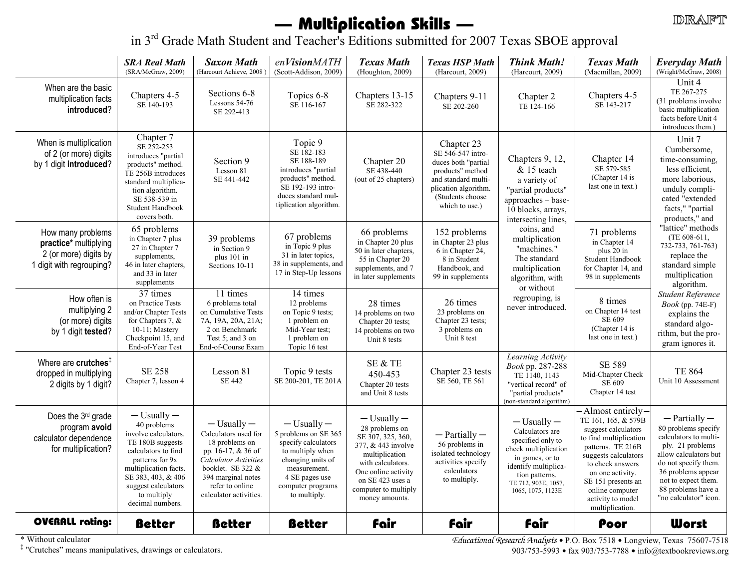# — Multiplication Skills —

in 3<sup>rd</sup> Grade Math Student and Teacher's Editions submitted for 2007 Texas SBOE approval

|                                                                                                 | <b>SRA Real Math</b><br>(SRA/McGraw, 2009)                                                                                                                                                                                    | <b>Saxon Math</b><br>(Harcourt Achieve, 2008)                                                                                                                                                    | enVisionMATH<br>(Scott-Addison, 2009)                                                                                                                                          | <b>Texas Math</b><br>(Houghton, 2009)                                                                                                                                                                    | <b>Texas HSP Math</b><br>(Harcourt, 2009)                                                                                                                       | <b>Think Math!</b><br>(Harcourt, 2009)                                                                                                                                                   | <b>Texas Math</b><br>(Macmillan, 2009)                                                                                                                                                                                                                          | <b>Everyday Math</b><br>(Wright/McGraw, 2008)                                                                                                                                                                                                                                                                                                                                                                      |
|-------------------------------------------------------------------------------------------------|-------------------------------------------------------------------------------------------------------------------------------------------------------------------------------------------------------------------------------|--------------------------------------------------------------------------------------------------------------------------------------------------------------------------------------------------|--------------------------------------------------------------------------------------------------------------------------------------------------------------------------------|----------------------------------------------------------------------------------------------------------------------------------------------------------------------------------------------------------|-----------------------------------------------------------------------------------------------------------------------------------------------------------------|------------------------------------------------------------------------------------------------------------------------------------------------------------------------------------------|-----------------------------------------------------------------------------------------------------------------------------------------------------------------------------------------------------------------------------------------------------------------|--------------------------------------------------------------------------------------------------------------------------------------------------------------------------------------------------------------------------------------------------------------------------------------------------------------------------------------------------------------------------------------------------------------------|
| When are the basic<br>multiplication facts<br>introduced?                                       | Chapters 4-5<br>SE 140-193                                                                                                                                                                                                    | Sections 6-8<br>Lessons 54-76<br>SE 292-413                                                                                                                                                      | Topics 6-8<br>SE 116-167                                                                                                                                                       | Chapters 13-15<br>SE 282-322                                                                                                                                                                             | Chapters 9-11<br>SE 202-260                                                                                                                                     | Chapter 2<br>TE 124-166                                                                                                                                                                  | Chapters 4-5<br>SE 143-217                                                                                                                                                                                                                                      | Unit 4<br>TE 267-275<br>(31 problems involve)<br>basic multiplication<br>facts before Unit 4<br>introduces them.)                                                                                                                                                                                                                                                                                                  |
| When is multiplication<br>of 2 (or more) digits<br>by 1 digit introduced?                       | Chapter 7<br>SE 252-253<br>introduces "partial<br>products" method.<br>TE 256B introduces<br>standard multiplica-<br>tion algorithm.<br>SE 538-539 in<br>Student Handbook<br>covers both.                                     | Section 9<br>Lesson 81<br>SE 441-442                                                                                                                                                             | Topic 9<br>SE 182-183<br>SE 188-189<br>introduces "partial<br>products" method.<br>SE 192-193 intro-<br>duces standard mul-<br>tiplication algorithm.                          | Chapter 20<br>SE 438-440<br>(out of 25 chapters)                                                                                                                                                         | Chapter 23<br>SE 546-547 intro-<br>duces both "partial<br>products" method<br>and standard multi-<br>plication algorithm.<br>(Students choose<br>which to use.) | Chapters 9, 12,<br>& 15 teach<br>a variety of<br>"partial products"<br>approaches - base-<br>10 blocks, arrays,<br>intersecting lines,                                                   | Chapter 14<br>SE 579-585<br>(Chapter 14 is<br>last one in text.)                                                                                                                                                                                                | Unit 7<br>Cumbersome,<br>time-consuming,<br>less efficient,<br>more laborious,<br>unduly compli-<br>cated "extended<br>facts," "partial<br>products," and<br>"lattice" methods<br>(TE 608-611,<br>732-733, 761-763)<br>replace the<br>standard simple<br>multiplication<br>algorithm.<br>Student Reference<br><i>Book</i> (pp. 74E-F)<br>explains the<br>standard algo-<br>rithm, but the pro-<br>gram ignores it. |
| How many problems<br>practice* multiplying<br>2 (or more) digits by<br>1 digit with regrouping? | 65 problems<br>in Chapter 7 plus<br>27 in Chapter 7<br>supplements,<br>46 in later chapters,<br>and 33 in later<br>supplements                                                                                                | 39 problems<br>in Section 9<br>plus 101 in<br>Sections 10-11                                                                                                                                     | 67 problems<br>in Topic 9 plus<br>31 in later topics,<br>38 in supplements, and<br>17 in Step-Up lessons                                                                       | 66 problems<br>in Chapter 20 plus<br>50 in later chapters,<br>55 in Chapter 20<br>supplements, and 7<br>in later supplements                                                                             | 152 problems<br>in Chapter 23 plus<br>6 in Chapter 24,<br>8 in Student<br>Handbook, and<br>99 in supplements                                                    | coins, and<br>multiplication<br>"machines."<br>The standard<br>multiplication<br>algorithm, with<br>or without                                                                           | 71 problems<br>in Chapter 14<br>plus 20 in<br>Student Handbook<br>for Chapter 14, and<br>98 in supplements                                                                                                                                                      |                                                                                                                                                                                                                                                                                                                                                                                                                    |
| How often is<br>multiplying 2<br>(or more) digits<br>by 1 digit tested?                         | 37 times<br>on Practice Tests<br>and/or Chapter Tests<br>for Chapters 7, $&$<br>10-11; Mastery<br>Checkpoint 15, and<br>End-of-Year Test                                                                                      | 11 times<br>6 problems total<br>on Cumulative Tests<br>7A, 19A, 20A, 21A;<br>2 on Benchmark<br>Test $5$ ; and $3$ on<br>End-of-Course Exam                                                       | 14 times<br>12 problems<br>on Topic 9 tests;<br>1 problem on<br>Mid-Year test;<br>1 problem on<br>Topic 16 test                                                                | 28 times<br>14 problems on two<br>Chapter 20 tests;<br>14 problems on two<br>Unit 8 tests                                                                                                                | 26 times<br>23 problems on<br>Chapter 23 tests;<br>3 problems on<br>Unit 8 test                                                                                 | regrouping, is<br>never introduced.                                                                                                                                                      | 8 times<br>on Chapter 14 test<br>SE 609<br>(Chapter 14 is<br>last one in text.)                                                                                                                                                                                 |                                                                                                                                                                                                                                                                                                                                                                                                                    |
| Where are crutches <sup>#</sup><br>dropped in multiplying<br>2 digits by 1 digit?               | <b>SE 258</b><br>Chapter 7, lesson 4                                                                                                                                                                                          | Lesson 81<br><b>SE 442</b>                                                                                                                                                                       | Topic 9 tests<br>SE 200-201, TE 201A                                                                                                                                           | SE & TE<br>450-453<br>Chapter 20 tests<br>and Unit 8 tests                                                                                                                                               | Chapter 23 tests<br>SE 560, TE 561                                                                                                                              | Learning Activity<br>Book pp. 287-288<br>TE 1140, 1143<br>"vertical record" of<br>"partial products"<br>(non-standard algorithm)                                                         | SE 589<br>Mid-Chapter Check<br>SE 609<br>Chapter 14 test                                                                                                                                                                                                        | <b>TE 864</b><br>Unit 10 Assessment                                                                                                                                                                                                                                                                                                                                                                                |
| Does the 3rd grade<br>program avoid<br>calculator dependence<br>for multiplication?             | $-$ Usually $-$<br>40 problems<br>involve calculators.<br>TE 180B suggests<br>calculators to find<br>patterns for 9x<br>multiplication facts.<br>SE 383, 403, & 406<br>suggest calculators<br>to multiply<br>decimal numbers. | $-$ Usually $-$<br>Calculators used for<br>18 problems on<br>pp. 16-17, & 36 of<br>Calculator Activities<br>booklet. SE 322 &<br>394 marginal notes<br>refer to online<br>calculator activities. | $-$ Usually $-$<br>5 problems on SE 365<br>specify calculators<br>to multiply when<br>changing units of<br>measurement.<br>4 SE pages use<br>computer programs<br>to multiply. | $-$ Usually $-$<br>28 problems on<br>SE 307, 325, 360,<br>377, & 443 involve<br>multiplication<br>with calculators.<br>One online activity<br>on SE 423 uses a<br>computer to multiply<br>money amounts. | $-$ Partially $-$<br>56 problems in<br>isolated technology<br>activities specify<br>calculators<br>to multiply.                                                 | $-$ Usually $-$<br>Calculators are<br>specified only to<br>check multiplication<br>in games, or to<br>identify multiplica-<br>tion patterns.<br>TE 712, 903E, 1057.<br>1065, 1075, 1123E | -Almost entirely-<br>TE 161, 165, & 579B<br>suggest calculators<br>to find multiplication<br>patterns. TE 216B<br>suggests calculators<br>to check answers<br>on one activity.<br>SE 151 presents an<br>online computer<br>activity to model<br>multiplication. | $-$ Partially $-$<br>80 problems specify<br>calculators to multi-<br>ply. 21 problems<br>allow calculators but<br>do not specify them.<br>36 problems appear<br>not to expect them.<br>88 problems have a<br>"no calculator" icon.                                                                                                                                                                                 |
| <b>OVERALL rating:</b>                                                                          | <b>Better</b>                                                                                                                                                                                                                 | <b>Better</b>                                                                                                                                                                                    | <b>Better</b>                                                                                                                                                                  | <b>fair</b>                                                                                                                                                                                              | <b>fair</b>                                                                                                                                                     | <b>fair</b>                                                                                                                                                                              | Poor                                                                                                                                                                                                                                                            | <b>Worst</b>                                                                                                                                                                                                                                                                                                                                                                                                       |

\* Without calculator

 $\ddagger$  "Contabas" means  $\ddagger$ 

Educational Research Analysts • P.O. Box 7518 • Longview, Texas 75607-7518<br>903/753-5993 • fax 903/753-7788 • info@textbookreviews.org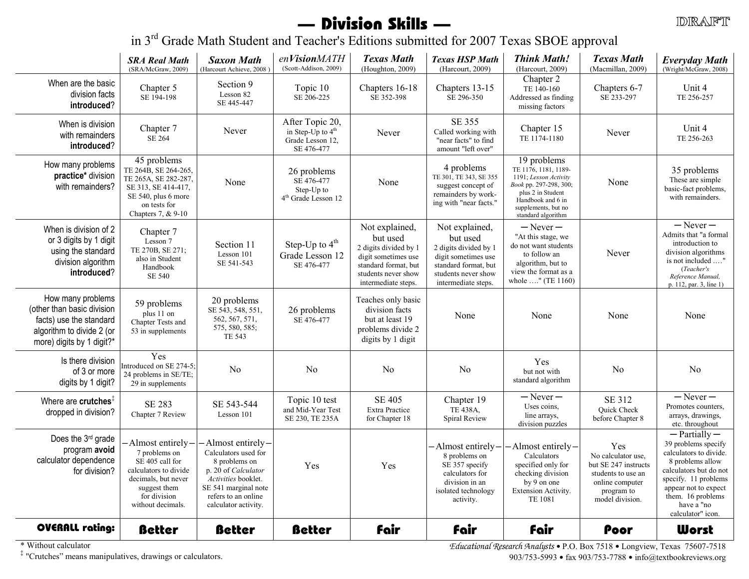## — Division Skills —

in 3<sup>rd</sup> Grade Math Student and Teacher's Editions submitted for 2007 Texas SBOE approval

|                                                                                                                                      | <b>SRA Real Math</b><br>(SRA/McGraw, 2009)                                                                                                                | <b>Saxon Math</b><br>(Harcourt Achieve, 2008)                                                                                                                                  | enVisionMATH<br>(Scott-Addison, 2009)                                    | <b>Texas Math</b><br>(Houghton, 2009)                                                                                                            | <b>Texas HSP Math</b><br>(Harcourt, 2009)                                                                                                        | <b>Think Math!</b><br>(Harcourt, 2009)                                                                                                                                        | <b>Texas Math</b><br>(Macmillan, 2009)                                                                                      | <b>Everyday Math</b><br>(Wright/McGraw, 2008)                                                                                                                                                                            |
|--------------------------------------------------------------------------------------------------------------------------------------|-----------------------------------------------------------------------------------------------------------------------------------------------------------|--------------------------------------------------------------------------------------------------------------------------------------------------------------------------------|--------------------------------------------------------------------------|--------------------------------------------------------------------------------------------------------------------------------------------------|--------------------------------------------------------------------------------------------------------------------------------------------------|-------------------------------------------------------------------------------------------------------------------------------------------------------------------------------|-----------------------------------------------------------------------------------------------------------------------------|--------------------------------------------------------------------------------------------------------------------------------------------------------------------------------------------------------------------------|
| When are the basic<br>division facts<br>introduced?                                                                                  | Chapter 5<br>SE 194-198                                                                                                                                   | Section 9<br>Lesson 82<br>SE 445-447                                                                                                                                           | Topic 10<br>SE 206-225                                                   | Chapters 16-18<br>SE 352-398                                                                                                                     | Chapters 13-15<br>SE 296-350                                                                                                                     | Chapter 2<br>TE 140-160<br>Addressed as finding<br>missing factors                                                                                                            | Chapters 6-7<br>SE 233-297                                                                                                  | Unit 4<br>TE 256-257                                                                                                                                                                                                     |
| When is division<br>with remainders<br>introduced?                                                                                   | Chapter 7<br>SE 264                                                                                                                                       | Never                                                                                                                                                                          | After Topic 20,<br>in Step-Up to $4th$<br>Grade Lesson 12,<br>SE 476-477 | Never                                                                                                                                            | <b>SE 355</b><br>Called working with<br>"near facts" to find<br>amount "left over"                                                               | Chapter 15<br>TE 1174-1180                                                                                                                                                    | Never                                                                                                                       | Unit 4<br>TE 256-263                                                                                                                                                                                                     |
| How many problems<br>practice* division<br>with remainders?                                                                          | 45 problems<br>TE 264B, SE 264-265,<br>TE 265A, SE 282-287,<br>SE 313, SE 414-417,<br>SE 540, plus 6 more<br>on tests for<br>Chapters 7, & 9-10           | None                                                                                                                                                                           | 26 problems<br>SE 476-477<br>Step-Up to<br>$4th$ Grade Lesson 12         | None                                                                                                                                             | 4 problems<br>TE 301, TE 343, SE 355<br>suggest concept of<br>remainders by work-<br>ing with "near facts."                                      | 19 problems<br>TE 1176, 1181, 1189-<br>1191; Lesson Activity<br>Book pp. 297-298, 300;<br>plus 2 in Student<br>Handbook and 6 in<br>supplements, but no<br>standard algorithm | None                                                                                                                        | 35 problems<br>These are simple<br>basic-fact problems,<br>with remainders.                                                                                                                                              |
| When is division of 2<br>or 3 digits by 1 digit<br>using the standard<br>division algorithm<br>introduced?                           | Chapter 7<br>Lesson 7<br>TE 270B, SE 271;<br>also in Student<br>Handbook<br><b>SE 540</b>                                                                 | Section 11<br>Lesson 101<br>SE 541-543                                                                                                                                         | Step-Up to $4th$<br>Grade Lesson 12<br>SE 476-477                        | Not explained,<br>but used<br>2 digits divided by 1<br>digit sometimes use<br>standard format, but<br>students never show<br>intermediate steps. | Not explained,<br>but used<br>2 digits divided by 1<br>digit sometimes use<br>standard format, but<br>students never show<br>intermediate steps. | $-$ Never $-$<br>"At this stage, we<br>do not want students<br>to follow an<br>algorithm, but to<br>view the format as a<br>whole " (TE 1160)                                 | Never                                                                                                                       | $-$ Never $-$<br>Admits that "a formal<br>introduction to<br>division algorithms<br>is not included "<br>(Teacher's<br>Reference Manual,<br>p. 112, par. 3, line 1)                                                      |
| How many problems<br>(other than basic division<br>facts) use the standard<br>algorithm to divide 2 (or<br>more) digits by 1 digit?* | 59 problems<br>plus 11 on<br>Chapter Tests and<br>53 in supplements                                                                                       | 20 problems<br>SE 543, 548, 551,<br>562, 567, 571,<br>575, 580, 585;<br>TE 543                                                                                                 | 26 problems<br>SE 476-477                                                | Teaches only basic<br>division facts<br>but at least 19<br>problems divide 2<br>digits by 1 digit                                                | None                                                                                                                                             | None                                                                                                                                                                          | None                                                                                                                        | None                                                                                                                                                                                                                     |
| Is there division<br>of 3 or more<br>digits by 1 digit?                                                                              | Yes<br>Introduced on SE 274-5;<br>24 problems in SE/TE;<br>29 in supplements                                                                              | N <sub>0</sub>                                                                                                                                                                 | N <sub>0</sub>                                                           | N <sub>0</sub>                                                                                                                                   | N <sub>0</sub>                                                                                                                                   | Yes<br>but not with<br>standard algorithm                                                                                                                                     | N <sub>0</sub>                                                                                                              | N <sub>0</sub>                                                                                                                                                                                                           |
| Where are crutches <sup>#</sup><br>dropped in division?                                                                              | <b>SE 283</b><br>Chapter 7 Review                                                                                                                         | SE 543-544<br>Lesson 101                                                                                                                                                       | Topic 10 test<br>and Mid-Year Test<br>SE 230, TE 235A                    | <b>SE 405</b><br><b>Extra Practice</b><br>for Chapter 18                                                                                         | Chapter 19<br>TE 438A,<br>Spiral Review                                                                                                          | $-$ Never $-$<br>Uses coins,<br>line arrays,<br>division puzzles                                                                                                              | SE 312<br>Quick Check<br>before Chapter 8                                                                                   | $-$ Never $-$<br>Promotes counters,<br>arrays, drawings,<br>etc. throughout                                                                                                                                              |
| Does the 3rd grade<br>program avoid<br>calculator dependence<br>for division?                                                        | Almost entirely-<br>7 problems on<br>SE 405 call for<br>calculators to divide<br>decimals, but never<br>suggest them<br>for division<br>without decimals. | Almost entirely-<br>Calculators used for<br>8 problems on<br>p. 20 of Calculator<br>Activities booklet.<br>SE 541 marginal note<br>refers to an online<br>calculator activity. | Yes                                                                      | Yes                                                                                                                                              | -Almost entirely-<br>8 problems on<br>SE 357 specify<br>calculators for<br>division in an<br>isolated technology<br>activity.                    | -Almost entirely-<br>Calculators<br>specified only for<br>checking division<br>by 9 on one<br><b>Extension Activity.</b><br><b>TE 1081</b>                                    | Yes<br>No calculator use.<br>but SE 247 instructs<br>students to use an<br>online computer<br>program to<br>model division. | $-$ Partially $-$<br>39 problems specify<br>calculators to divide.<br>8 problems allow<br>calculators but do not<br>specify. 11 problems<br>appear not to expect<br>them. 16 problems<br>have a "no<br>calculator" icon. |
| OVERALL rating:                                                                                                                      | <b>Better</b>                                                                                                                                             | <b>Better</b>                                                                                                                                                                  | <b>Better</b>                                                            | fair                                                                                                                                             | <b>fair</b>                                                                                                                                      | <b>fair</b>                                                                                                                                                                   | Poor                                                                                                                        | <b>Worst</b>                                                                                                                                                                                                             |

\* Without calculator

 $\ddagger$  "Contabas" means

Without calculator<br>
"Crutches" means manipulatives, drawings or calculators.<br>
903/753-5993 • fax 903/753-7788 • info@textbookreviews.org<br>
903/753-5993 • fax 903/753-7788 • info@textbookreviews.org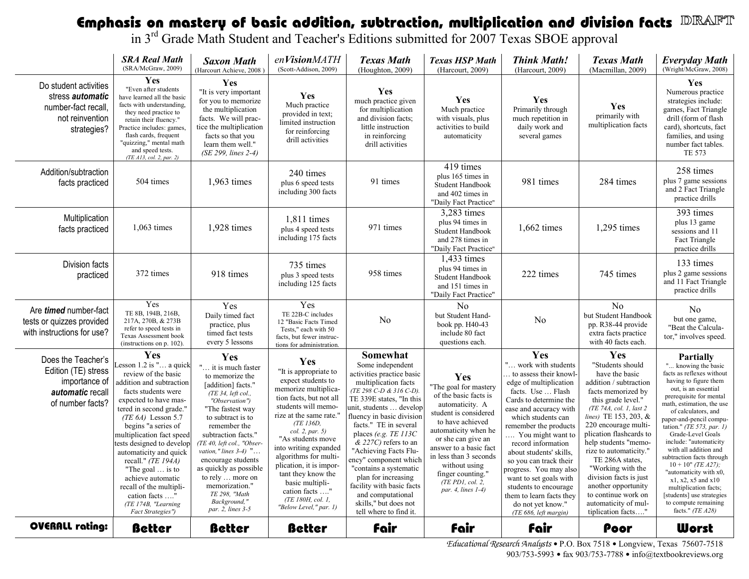#### Emphasis on mastery of basic addition, subtraction, multiplication and division facts<br>in 3<sup>rd</sup> Grade Math Student and Teacher's Editions submitted for 2007 Texas SBOE approval DRAFT

|                                                                                                           | <b>SRA Real Math</b><br>(SRA/McGraw, 2009)                                                                                                                                                                                                                                                                                                                                                                                                                | <b>Saxon Math</b><br>(Harcourt Achieve, 2008)                                                                                                                                                                                                                                                                                                                                                     | enVisionMATH<br>(Scott-Addison, 2009)                                                                                                                                                                                                                                                                                                                                                               | <b>Texas Math</b><br>(Houghton, 2009)                                                                                                                                                                                                                                                                                                                                                                                                                                                 | <b>Texas HSP Math</b><br>(Harcourt, 2009)                                                                                                                                                                                                                                                                 | <b>Think Math!</b><br>(Harcourt, 2009)                                                                                                                                                                                                                                                                                                                                                                                                                         | <b>Texas Math</b><br>(Macmillan, 2009)                                                                                                                                                                                                                                                                                                                                                                                                 | <b>Everyday Math</b><br>(Wright/McGraw, 2008)                                                                                                                                                                                                                                                                                                                                                                                                                                                                                                          |
|-----------------------------------------------------------------------------------------------------------|-----------------------------------------------------------------------------------------------------------------------------------------------------------------------------------------------------------------------------------------------------------------------------------------------------------------------------------------------------------------------------------------------------------------------------------------------------------|---------------------------------------------------------------------------------------------------------------------------------------------------------------------------------------------------------------------------------------------------------------------------------------------------------------------------------------------------------------------------------------------------|-----------------------------------------------------------------------------------------------------------------------------------------------------------------------------------------------------------------------------------------------------------------------------------------------------------------------------------------------------------------------------------------------------|---------------------------------------------------------------------------------------------------------------------------------------------------------------------------------------------------------------------------------------------------------------------------------------------------------------------------------------------------------------------------------------------------------------------------------------------------------------------------------------|-----------------------------------------------------------------------------------------------------------------------------------------------------------------------------------------------------------------------------------------------------------------------------------------------------------|----------------------------------------------------------------------------------------------------------------------------------------------------------------------------------------------------------------------------------------------------------------------------------------------------------------------------------------------------------------------------------------------------------------------------------------------------------------|----------------------------------------------------------------------------------------------------------------------------------------------------------------------------------------------------------------------------------------------------------------------------------------------------------------------------------------------------------------------------------------------------------------------------------------|--------------------------------------------------------------------------------------------------------------------------------------------------------------------------------------------------------------------------------------------------------------------------------------------------------------------------------------------------------------------------------------------------------------------------------------------------------------------------------------------------------------------------------------------------------|
| Do student activities<br>stress <i>automatic</i><br>number-fact recall,<br>not reinvention<br>strategies? | <b>Yes</b><br>"Even after students<br>have learned all the basic<br>facts with understanding,<br>they need practice to<br>retain their fluency."<br>Practice includes: games,<br>flash cards, frequent<br>"quizzing," mental math<br>and speed tests.<br>$(TE$ $AI3$ , col. 2, par. 2)                                                                                                                                                                    | <b>Yes</b><br>"It is very important<br>for you to memorize<br>the multiplication<br>facts. We will prac-<br>tice the multiplication<br>facts so that you<br>learn them well."<br>(SE 299, lines 2-4)                                                                                                                                                                                              | Yes<br>Much practice<br>provided in text;<br>limited instruction<br>for reinforcing<br>drill activities                                                                                                                                                                                                                                                                                             | Yes<br>much practice given<br>for multiplication<br>and division facts;<br>little instruction<br>in reinforcing<br>drill activities                                                                                                                                                                                                                                                                                                                                                   | Yes<br>Much practice<br>with visuals, plus<br>activities to build<br>automaticity                                                                                                                                                                                                                         | Yes<br>Primarily through<br>much repetition in<br>daily work and<br>several games                                                                                                                                                                                                                                                                                                                                                                              | Yes<br>primarily with<br>multiplication facts                                                                                                                                                                                                                                                                                                                                                                                          | Yes<br>Numerous practice<br>strategies include:<br>games, Fact Triangle<br>drill (form of flash<br>card), shortcuts, fact<br>families, and using<br>number fact tables.<br>TE 573                                                                                                                                                                                                                                                                                                                                                                      |
| Addition/subtraction<br>facts practiced                                                                   | 504 times                                                                                                                                                                                                                                                                                                                                                                                                                                                 | 1,963 times                                                                                                                                                                                                                                                                                                                                                                                       | 240 times<br>plus 6 speed tests<br>including 300 facts                                                                                                                                                                                                                                                                                                                                              | 91 times                                                                                                                                                                                                                                                                                                                                                                                                                                                                              | 419 times<br>plus 165 times in<br>Student Handbook<br>and 402 times in<br>"Daily Fact Practice"                                                                                                                                                                                                           | 981 times                                                                                                                                                                                                                                                                                                                                                                                                                                                      | 284 times                                                                                                                                                                                                                                                                                                                                                                                                                              | 258 times<br>plus 7 game sessions<br>and 2 Fact Triangle<br>practice drills                                                                                                                                                                                                                                                                                                                                                                                                                                                                            |
| Multiplication<br>facts practiced                                                                         | $1,063$ times                                                                                                                                                                                                                                                                                                                                                                                                                                             | 1,928 times                                                                                                                                                                                                                                                                                                                                                                                       | 1,811 times<br>plus 4 speed tests<br>including 175 facts                                                                                                                                                                                                                                                                                                                                            | 971 times                                                                                                                                                                                                                                                                                                                                                                                                                                                                             | 3,283 times<br>plus 94 times in<br>Student Handbook<br>and 278 times in<br>"Daily Fact Practice"                                                                                                                                                                                                          | $1,662 \text{ times}$                                                                                                                                                                                                                                                                                                                                                                                                                                          | 1,295 times                                                                                                                                                                                                                                                                                                                                                                                                                            | 393 times<br>plus 13 game<br>sessions and 11<br>Fact Triangle<br>practice drills                                                                                                                                                                                                                                                                                                                                                                                                                                                                       |
| Division facts<br>practiced                                                                               | 372 times                                                                                                                                                                                                                                                                                                                                                                                                                                                 | 918 times                                                                                                                                                                                                                                                                                                                                                                                         | 735 times<br>plus 3 speed tests<br>including 125 facts                                                                                                                                                                                                                                                                                                                                              | 958 times                                                                                                                                                                                                                                                                                                                                                                                                                                                                             | 1,433 times<br>plus 94 times in<br>Student Handbook<br>and 151 times in<br>"Daily Fact Practice"                                                                                                                                                                                                          | 222 times                                                                                                                                                                                                                                                                                                                                                                                                                                                      | 745 times                                                                                                                                                                                                                                                                                                                                                                                                                              | 133 times<br>plus 2 game sessions<br>and 11 Fact Triangle<br>practice drills                                                                                                                                                                                                                                                                                                                                                                                                                                                                           |
| Are <i>timed</i> number-fact<br>tests or quizzes provided<br>with instructions for use?                   | Yes<br>TE 8B, 194B, 216B,<br>217A, 270B, & 273B<br>refer to speed tests in<br>Texas Assessment book<br>(instructions on p. 102).                                                                                                                                                                                                                                                                                                                          | Yes<br>Daily timed fact<br>practice, plus<br>timed fact tests<br>every 5 lessons                                                                                                                                                                                                                                                                                                                  | Yes<br>TE 22B-C includes<br>12 "Basic Facts Timed<br>Tests," each with 50<br>facts, but fewer instruc-<br>tions for administration.                                                                                                                                                                                                                                                                 | N <sub>0</sub>                                                                                                                                                                                                                                                                                                                                                                                                                                                                        | N <sub>0</sub><br>but Student Hand-<br>book pp. H40-43<br>include 80 fact<br>questions each.                                                                                                                                                                                                              | N <sub>0</sub>                                                                                                                                                                                                                                                                                                                                                                                                                                                 | N <sub>0</sub><br>but Student Handbook<br>pp. R38-44 provide<br>extra facts practice<br>with 40 facts each.                                                                                                                                                                                                                                                                                                                            | N <sub>0</sub><br>but one game,<br>"Beat the Calcula-<br>tor," involves speed.                                                                                                                                                                                                                                                                                                                                                                                                                                                                         |
| Does the Teacher's<br>Edition (TE) stress<br>importance of<br>automatic recall<br>of number facts?        | Yes<br>esson 1.2 is " a quick<br>review of the basic<br>addition and subtraction<br>facts students were<br>expected to have mas-<br>tered in second grade.'<br>(TE $6A$ ) Lesson 5.7<br>begins "a series of<br>multiplication fact speed<br>tests designed to develop<br>automaticity and quick<br>recall." $(TE 194A)$<br>"The goal  is to<br>achieve automatic<br>recall of the multipli-<br>cation facts '<br>(TE 174B, "Learning<br>Fact Strategies") | Yes<br>" it is much faster<br>to memorize the<br>[addition] facts."<br>(TE 34, left col.,<br>"Observation")<br>"The fastest way<br>to subtract is to<br>remember the<br>subtraction facts."<br>(TE 40, left col., "Obser-<br>vation," lines $3-4$ ) "<br>encourage students<br>as quickly as possible<br>to rely  more on<br>memorization."<br>TE 298, "Math<br>Background,"<br>par. 2, lines 3-5 | Yes<br>"It is appropriate to<br>expect students to<br>memorize multiplica-<br>tion facts, but not all<br>students will memo-<br>rize at the same rate."<br>(TE 136D,<br>col. 2, par. 5)<br>"As students move<br>into writing expanded<br>algorithms for multi-<br>plication, it is impor-<br>tant they know the<br>basic multipli-<br>cation facts "<br>(TE 180H, col. 1,<br>"Below Level," par. 1) | Somewhat<br>Some independent<br>activities practice basic<br>multiplication facts<br>(TE 298 C-D & 316 C-D)<br>TE 339E states, "In this<br>unit, students  develop<br>fluency in basic division<br>facts." TE in several<br>places (e.g. TE $113C$<br>$& 227C$ ) refers to an<br>"Achieving Facts Flu-<br>ency" component which<br>"contains a systematic<br>plan for increasing<br>facility with basic facts<br>and computational<br>skills," but does not<br>tell where to find it. | Yes<br>"The goal for mastery<br>of the basic facts is<br>automaticity. A<br>student is considered<br>to have achieved<br>automaticity when he<br>or she can give an<br>answer to a basic fact<br>in less than 3 seconds<br>without using<br>finger counting."<br>$(TE$ PD1, col. 2,<br>par. 4, lines 1-4) | Yes<br>" work with students<br>to assess their knowl-<br>edge of multiplication<br>facts. Use  Flash<br>Cards to determine the<br>ease and accuracy with<br>which students can<br>remember the products<br>You might want to<br>record information<br>about students' skills.<br>so you can track their<br>progress. You may also<br>want to set goals with<br>students to encourage<br>them to learn facts they<br>do not yet know."<br>(TE 686, left margin) | Yes<br>"Students should<br>have the basic<br>addition / subtraction<br>facts memorized by<br>this grade level."<br>(TE 74A, col. 1, last 2<br>lines) TE 153, 203, &<br>220 encourage multi-<br>plication flashcards to<br>help students "memo-<br>rize to automaticity."<br>TE 286A states.<br>"Working with the<br>division facts is just<br>another opportunity<br>to continue work on<br>automaticity of mul-<br>tiplication facts" | <b>Partially</b><br>" knowing the basic<br>facts as reflexes without<br>having to figure them<br>out, is an essential<br>prerequisite for mental<br>math, estimation, the use<br>of calculators, and<br>paper-and-pencil compu-<br>tation." (TE 573, par. 1)<br>Grade-Level Goals<br>include: "automaticity<br>with all addition and<br>subtraction facts through<br>$10 + 10"$ (TE A27);<br>"automaticity with x0,<br>$x1$ , $x2$ , $x5$ and $x10$<br>multiplication facts;<br>students] use strategies<br>to compute remaining<br>facts." $(TE A28)$ |
| OVERALL rating:                                                                                           | <b>Better</b>                                                                                                                                                                                                                                                                                                                                                                                                                                             | <b>Better</b>                                                                                                                                                                                                                                                                                                                                                                                     | <b>Better</b>                                                                                                                                                                                                                                                                                                                                                                                       | <b>fair</b>                                                                                                                                                                                                                                                                                                                                                                                                                                                                           | fair                                                                                                                                                                                                                                                                                                      | <b>fair</b>                                                                                                                                                                                                                                                                                                                                                                                                                                                    | Poor                                                                                                                                                                                                                                                                                                                                                                                                                                   | <b>Worst</b>                                                                                                                                                                                                                                                                                                                                                                                                                                                                                                                                           |

 Educational Research Analysts P.O. Box 7518 Longview, Texas 75607-7518 903/753-5993 • fax 903/753-7788 • info@textbookreviews.org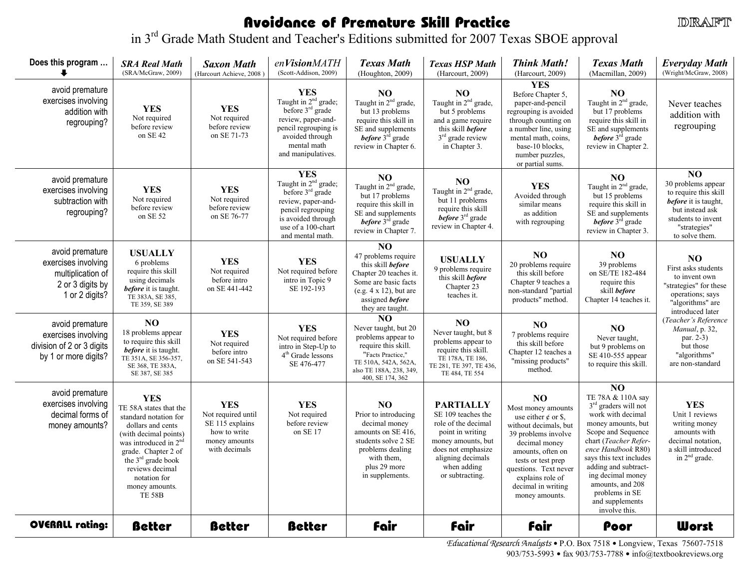### Avoidance of Premature Skill Practice

**DRAFT** 

in 3<sup>rd</sup> Grade Math Student and Teacher's Editions submitted for 2007 Texas SBOE approval

| Does this program                                                                                 | <b>SRA Real Math</b><br>(SRA/McGraw, 2009)                                                                                                                                                                                                                            | <b>Saxon Math</b><br>(Harcourt Achieve, 2008)                                                         | enVisionMATH<br>(Scott-Addison, 2009)                                                                                                                                           | <b>Texas Math</b><br>(Houghton, 2009)                                                                                                                                      | <b>Texas HSP Math</b><br>(Harcourt, 2009)                                                                                                                                            | <b>Think Math!</b><br>(Harcourt, 2009)                                                                                                                                                                                                                 | <b>Texas Math</b><br>(Macmillan, 2009)                                                                                                                                                                                                                                                                                           | <b>Everyday Math</b><br>(Wright/McGraw, 2008)                                                                                                                     |
|---------------------------------------------------------------------------------------------------|-----------------------------------------------------------------------------------------------------------------------------------------------------------------------------------------------------------------------------------------------------------------------|-------------------------------------------------------------------------------------------------------|---------------------------------------------------------------------------------------------------------------------------------------------------------------------------------|----------------------------------------------------------------------------------------------------------------------------------------------------------------------------|--------------------------------------------------------------------------------------------------------------------------------------------------------------------------------------|--------------------------------------------------------------------------------------------------------------------------------------------------------------------------------------------------------------------------------------------------------|----------------------------------------------------------------------------------------------------------------------------------------------------------------------------------------------------------------------------------------------------------------------------------------------------------------------------------|-------------------------------------------------------------------------------------------------------------------------------------------------------------------|
| avoid premature<br>exercises involving<br>addition with<br>regrouping?                            | <b>YES</b><br>Not required<br>before review<br>on SE 42                                                                                                                                                                                                               | <b>YES</b><br>Not required<br>before review<br>on SE 71-73                                            | <b>YES</b><br>Taught in $2nd$ grade;<br>before $3rd$ grade<br>review, paper-and-<br>pencil regrouping is<br>avoided through<br>mental math<br>and manipulatives.                | NO<br>Taught in 2 <sup>nd</sup> grade,<br>but 13 problems<br>require this skill in<br>SE and supplements<br><b>before</b> 3 <sup>rd</sup> grade<br>review in Chapter 6.    | N <sub>O</sub><br>Taught in 2 <sup>nd</sup> grade,<br>but 5 problems<br>and a game require<br>this skill before<br>$3rd$ grade review<br>in Chapter 3.                               | <b>YES</b><br>Before Chapter 5,<br>paper-and-pencil<br>regrouping is avoided<br>through counting on<br>a number line, using<br>mental math, coins,<br>base-10 blocks.<br>number puzzles,<br>or partial sums.                                           | N <sub>O</sub><br>Taught in 2 <sup>nd</sup> grade,<br>but 17 problems<br>require this skill in<br>SE and supplements<br><i>before</i> 3 <sup>rd</sup> grade<br>review in Chapter 2.                                                                                                                                              | Never teaches<br>addition with<br>regrouping                                                                                                                      |
| avoid premature<br>exercises involving<br>subtraction with<br>regrouping?                         | <b>YES</b><br>Not required<br>before review<br>on SE 52                                                                                                                                                                                                               | <b>YES</b><br>Not required<br>before review<br>on SE 76-77                                            | <b>YES</b><br>Taught in 2 <sup>nd</sup> grade;<br>before $3rd$ grade<br>review, paper-and-<br>pencil regrouping<br>is avoided through<br>use of a 100-chart<br>and mental math. | NO<br>Taught in 2 <sup>nd</sup> grade,<br>but 17 problems<br>require this skill in<br>SE and supplements<br><i>before</i> $3rd$ grade<br>review in Chapter 7.              | NO.<br>Taught in 2 <sup>nd</sup> grade,<br>but 11 problems<br>require this skill<br>before $3rd$ grade<br>review in Chapter 4.                                                       | <b>YES</b><br>Avoided through<br>similar means<br>as addition<br>with regrouping                                                                                                                                                                       | N <sub>O</sub><br>Taught in 2 <sup>nd</sup> grade,<br>but 15 problems<br>require this skill in<br>SE and supplements<br><i>before</i> $3rd$ grade<br>review in Chapter 3.                                                                                                                                                        | $\overline{NO}$<br>30 problems appear<br>to require this skill<br>before it is taught,<br>but instead ask<br>students to invent<br>"strategies"<br>to solve them. |
| avoid premature<br>exercises involving<br>multiplication of<br>2 or 3 digits by<br>1 or 2 digits? | <b>USUALLY</b><br>6 problems<br>require this skill<br>using decimals<br>before it is taught.<br>TE 383A, SE 385,<br>TE 359, SE 389                                                                                                                                    | <b>YES</b><br>Not required<br>before intro<br>on SE 441-442                                           | <b>YES</b><br>Not required before<br>intro in Topic 9<br>SE 192-193                                                                                                             | NO.<br>47 problems require<br>this skill before<br>Chapter 20 teaches it.<br>Some are basic facts<br>(e.g. $4 \times 12$ ), but are<br>assigned before<br>they are taught. | <b>USUALLY</b><br>9 problems require<br>this skill <i>before</i><br>Chapter 23<br>teaches it.                                                                                        | NO.<br>20 problems require<br>this skill before<br>Chapter 9 teaches a<br>non-standard "partial<br>products" method.                                                                                                                                   | N <sub>O</sub><br>39 problems<br>on SE/TE 182-484<br>require this<br>skill before<br>Chapter 14 teaches it.                                                                                                                                                                                                                      | NO<br>First asks students<br>to invent own<br>"strategies" for these<br>operations; says<br>"algorithms" are<br>introduced later                                  |
| avoid premature<br>exercises involving<br>division of 2 or 3 digits<br>by 1 or more digits?       | N <sub>O</sub><br>18 problems appear<br>to require this skill<br>before it is taught.<br>TE 351A, SE 356-357,<br>SE 368, TE 383A,<br>SE 387, SE 385                                                                                                                   | <b>YES</b><br>Not required<br>before intro<br>on SE 541-543                                           | <b>YES</b><br>Not required before<br>intro in Step-Up to<br>4 <sup>th</sup> Grade lessons<br>SE 476-477                                                                         | NO.<br>Never taught, but 20<br>problems appear to<br>require this skill.<br>"Facts Practice,"<br>TE 510A, 542A, 562A,<br>also TE 188A, 238, 349,<br>400, SE 174, 362       | N <sub>O</sub><br>Never taught, but 8<br>problems appear to<br>require this skill.<br>TE 178A, TE 186,<br>TE 281, TE 397, TE 436,<br>TE 484, TE 554                                  | NO.<br>7 problems require<br>this skill before<br>Chapter 12 teaches a<br>"missing products"<br>method.                                                                                                                                                | N <sub>O</sub><br>Never taught,<br>but 9 problems on<br>SE 410-555 appear<br>to require this skill.                                                                                                                                                                                                                              | (Teacher's Reference<br>Manual, p. 32,<br>par. 2-3)<br>but those<br>"algorithms"<br>are non-standard                                                              |
| avoid premature<br>exercises involving<br>decimal forms of<br>money amounts?                      | <b>YES</b><br>TE 58A states that the<br>standard notation for<br>dollars and cents<br>(with decimal points)<br>was introduced in 2 <sup>nd</sup><br>grade. Chapter 2 of<br>the $3rd$ grade book<br>reviews decimal<br>notation for<br>money amounts.<br><b>TE 58B</b> | <b>YES</b><br>Not required until<br>SE 115 explains<br>how to write<br>money amounts<br>with decimals | <b>YES</b><br>Not required<br>before review<br>on SE 17                                                                                                                         | N <sub>O</sub><br>Prior to introducing<br>decimal money<br>amounts on SE 416,<br>students solve 2 SE<br>problems dealing<br>with them.<br>plus 29 more<br>in supplements.  | <b>PARTIALLY</b><br>SE 109 teaches the<br>role of the decimal<br>point in writing<br>money amounts, but<br>does not emphasize<br>aligning decimals<br>when adding<br>or subtracting. | NO.<br>Most money amounts<br>use either $\phi$ or \$,<br>without decimals, but<br>39 problems involve<br>decimal money<br>amounts, often on<br>tests or test prep<br>questions. Text never<br>explains role of<br>decimal in writing<br>money amounts. | NO <sub>1</sub><br>TE 78A & 110A say<br>$3rd$ graders will not<br>work with decimal<br>money amounts, but<br>Scope and Sequence<br>chart (Teacher Refer-<br>ence Handbook R80)<br>says this text includes<br>adding and subtract-<br>ing decimal money<br>amounts, and 208<br>problems in SE<br>and supplements<br>involve this. | <b>YES</b><br>Unit 1 reviews<br>writing money<br>amounts with<br>decimal notation.<br>a skill introduced<br>in 2 <sup>nd</sup> grade.                             |
| <b>OVERALL rating:</b>                                                                            | <b>Better</b>                                                                                                                                                                                                                                                         | <b>Better</b>                                                                                         | <b>Better</b>                                                                                                                                                                   | <b>fair</b>                                                                                                                                                                | <b>fair</b>                                                                                                                                                                          | <b>fair</b>                                                                                                                                                                                                                                            | Poor                                                                                                                                                                                                                                                                                                                             | <b>Worst</b>                                                                                                                                                      |

Educational Research Analysts P.O. Box 7518 Longview, Texas 75607-7518 903/753-5993 • fax 903/753-7788 • info@textbookreviews.org